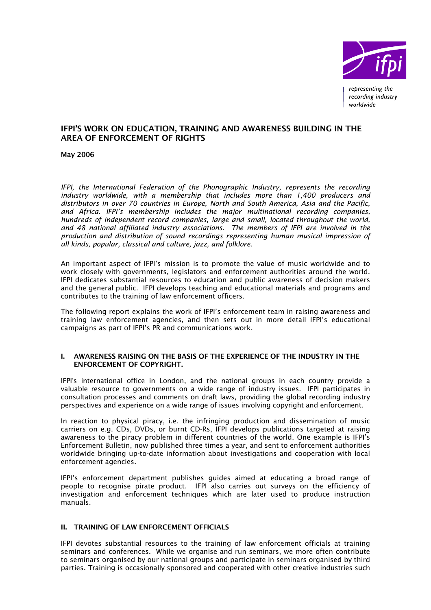

# IFPI'S WORK ON EDUCATION, TRAINING AND AWARENESS BUILDING IN THE AREA OF ENFORCEMENT OF RIGHTS

May 2006

*IFPI, the International Federation of the Phonographic Industry, represents the recording industry worldwide, with a membership that includes more than 1,400 producers and distributors in over 70 countries in Europe, North and South America, Asia and the Pacific, and Africa. IFPI's membership includes the major multinational recording companies, hundreds of independent record companies, large and small, located throughout the world, and 48 national affiliated industry associations. The members of IFPI are involved in the production and distribution of sound recordings representing human musical impression of all kinds, popular, classical and culture, jazz, and folklore.* 

An important aspect of IFPI's mission is to promote the value of music worldwide and to work closely with governments, legislators and enforcement authorities around the world. IFPI dedicates substantial resources to education and public awareness of decision makers and the general public. IFPI develops teaching and educational materials and programs and contributes to the training of law enforcement officers.

The following report explains the work of IFPI's enforcement team in raising awareness and training law enforcement agencies, and then sets out in more detail IFPI's educational campaigns as part of IFPI's PR and communications work.

## I. AWARENESS RAISING ON THE BASIS OF THE EXPERIENCE OF THE INDUSTRY IN THE ENFORCEMENT OF COPYRIGHT.

IFPI's international office in London, and the national groups in each country provide a valuable resource to governments on a wide range of industry issues. IFPI participates in consultation processes and comments on draft laws, providing the global recording industry perspectives and experience on a wide range of issues involving copyright and enforcement.

In reaction to physical piracy, i.e. the infringing production and dissemination of music carriers on e.g. CDs, DVDs, or burnt CD-Rs, IFPI develops publications targeted at raising awareness to the piracy problem in different countries of the world. One example is IFPI's Enforcement Bulletin, now published three times a year, and sent to enforcement authorities worldwide bringing up-to-date information about investigations and cooperation with local enforcement agencies.

IFPI's enforcement department publishes guides aimed at educating a broad range of people to recognise pirate product. IFPI also carries out surveys on the efficiency of investigation and enforcement techniques which are later used to produce instruction manuals.

# II. TRAINING OF LAW ENFORCEMENT OFFICIALS

IFPI devotes substantial resources to the training of law enforcement officials at training seminars and conferences. While we organise and run seminars, we more often contribute to seminars organised by our national groups and participate in seminars organised by third parties. Training is occasionally sponsored and cooperated with other creative industries such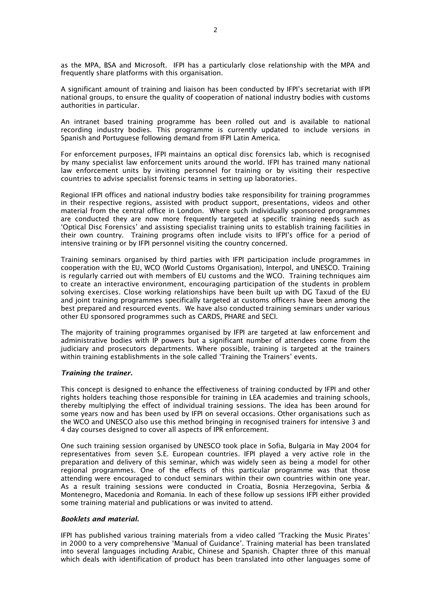as the MPA, BSA and Microsoft. IFPI has a particularly close relationship with the MPA and frequently share platforms with this organisation.

A significant amount of training and liaison has been conducted by IFPI's secretariat with IFPI national groups, to ensure the quality of cooperation of national industry bodies with customs authorities in particular.

An intranet based training programme has been rolled out and is available to national recording industry bodies. This programme is currently updated to include versions in Spanish and Portuguese following demand from IFPI Latin America.

For enforcement purposes, IFPI maintains an optical disc forensics lab, which is recognised by many specialist law enforcement units around the world. IFPI has trained many national law enforcement units by inviting personnel for training or by visiting their respective countries to advise specialist forensic teams in setting up laboratories.

Regional IFPI offices and national industry bodies take responsibility for training programmes in their respective regions, assisted with product support, presentations, videos and other material from the central office in London. Where such individually sponsored programmes are conducted they are now more frequently targeted at specific training needs such as 'Optical Disc Forensics' and assisting specialist training units to establish training facilities in their own country. Training programs often include visits to IFPI's office for a period of intensive training or by IFPI personnel visiting the country concerned.

Training seminars organised by third parties with IFPI participation include programmes in cooperation with the EU, WCO (World Customs Organisation), Interpol, and UNESCO. Training is regularly carried out with members of EU customs and the WCO. Training techniques aim to create an interactive environment, encouraging participation of the students in problem solving exercises. Close working relationships have been built up with DG Taxud of the EU and joint training programmes specifically targeted at customs officers have been among the best prepared and resourced events. We have also conducted training seminars under various other EU sponsored programmes such as CARDS, PHARE and SECI.

The majority of training programmes organised by IFPI are targeted at law enforcement and administrative bodies with IP powers but a significant number of attendees come from the judiciary and prosecutors departments. Where possible, training is targeted at the trainers within training establishments in the sole called 'Training the Trainers' events.

## *Training the trainer.*

This concept is designed to enhance the effectiveness of training conducted by IFPI and other rights holders teaching those responsible for training in LEA academies and training schools, thereby multiplying the effect of individual training sessions. The idea has been around for some years now and has been used by IFPI on several occasions. Other organisations such as the WCO and UNESCO also use this method bringing in recognised trainers for intensive 3 and 4 day courses designed to cover all aspects of IPR enforcement.

One such training session organised by UNESCO took place in Sofia, Bulgaria in May 2004 for representatives from seven S.E. European countries. IFPI played a very active role in the preparation and delivery of this seminar, which was widely seen as being a model for other regional programmes. One of the effects of this particular programme was that those attending were encouraged to conduct seminars within their own countries within one year. As a result training sessions were conducted in Croatia, Bosnia Herzegovina, Serbia & Montenegro, Macedonia and Romania. In each of these follow up sessions IFPI either provided some training material and publications or was invited to attend.

## *Booklets and material.*

IFPI has published various training materials from a video called 'Tracking the Music Pirates' in 2000 to a very comprehensive 'Manual of Guidance'. Training material has been translated into several languages including Arabic, Chinese and Spanish. Chapter three of this manual which deals with identification of product has been translated into other languages some of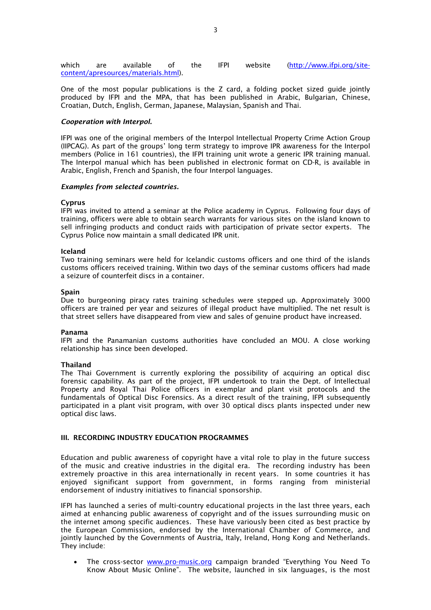which are available of the IFPI website (http://www.ifpi.org/sitecontent/apresources/materials.html).

One of the most popular publications is the Z card, a folding pocket sized guide jointly produced by IFPI and the MPA, that has been published in Arabic, Bulgarian, Chinese, Croatian, Dutch, English, German, Japanese, Malaysian, Spanish and Thai.

#### *Cooperation with Interpol.*

IFPI was one of the original members of the Interpol Intellectual Property Crime Action Group (IIPCAG). As part of the groups' long term strategy to improve IPR awareness for the Interpol members (Police in 161 countries), the IFPI training unit wrote a generic IPR training manual. The Interpol manual which has been published in electronic format on CD-R, is available in Arabic, English, French and Spanish, the four Interpol languages.

#### *Examples from selected countries.*

#### Cyprus

IFPI was invited to attend a seminar at the Police academy in Cyprus. Following four days of training, officers were able to obtain search warrants for various sites on the island known to sell infringing products and conduct raids with participation of private sector experts. The Cyprus Police now maintain a small dedicated IPR unit.

#### Iceland

Two training seminars were held for Icelandic customs officers and one third of the islands customs officers received training. Within two days of the seminar customs officers had made a seizure of counterfeit discs in a container.

#### Spain

Due to burgeoning piracy rates training schedules were stepped up. Approximately 3000 officers are trained per year and seizures of illegal product have multiplied. The net result is that street sellers have disappeared from view and sales of genuine product have increased.

#### Panama

IFPI and the Panamanian customs authorities have concluded an MOU. A close working relationship has since been developed.

#### Thailand

The Thai Government is currently exploring the possibility of acquiring an optical disc forensic capability. As part of the project, IFPI undertook to train the Dept. of Intellectual Property and Royal Thai Police officers in exemplar and plant visit protocols and the fundamentals of Optical Disc Forensics. As a direct result of the training, IFPI subsequently participated in a plant visit program, with over 30 optical discs plants inspected under new optical disc laws.

## III. RECORDING INDUSTRY EDUCATION PROGRAMMES

Education and public awareness of copyright have a vital role to play in the future success of the music and creative industries in the digital era. The recording industry has been extremely proactive in this area internationally in recent years. In some countries it has enjoyed significant support from government, in forms ranging from ministerial endorsement of industry initiatives to financial sponsorship.

IFPI has launched a series of multi-country educational projects in the last three years, each aimed at enhancing public awareness of copyright and of the issues surrounding music on the internet among specific audiences. These have variously been cited as best practice by the European Commission, endorsed by the International Chamber of Commerce, and jointly launched by the Governments of Austria, Italy, Ireland, Hong Kong and Netherlands. They include:

The cross-sector www.pro-music.org campaign branded "Everything You Need To Know About Music Online". The website, launched in six languages, is the most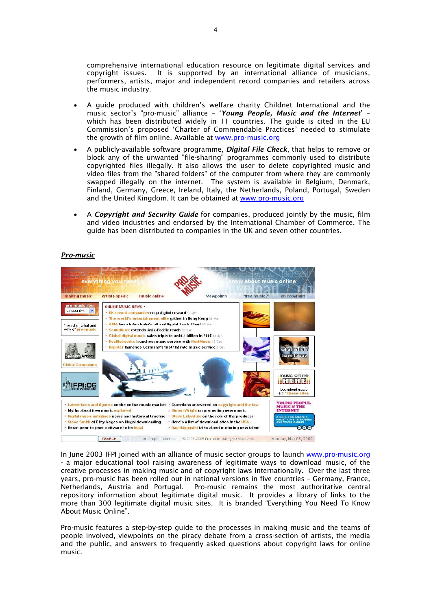comprehensive international education resource on legitimate digital services and copyright issues. It is supported by an international alliance of musicians, performers, artists, major and independent record companies and retailers across the music industry.

- A guide produced with children's welfare charity Childnet International and the music sector's "pro-music" alliance – '*Young People, Music and the Internet*' – which has been distributed widely in 11 countries. The guide is cited in the EU Commission's proposed 'Charter of Commendable Practices' needed to stimulate the growth of film online. Available at www.pro-music.org
- A publicly-available software programme, *Digital File Check*, that helps to remove or block any of the unwanted "file-sharing" programmes commonly used to distribute copyrighted files illegally. It also allows the user to delete copyrighted music and video files from the "shared folders" of the computer from where they are commonly swapped illegally on the internet. The system is available in Belgium, Denmark, Finland, Germany, Greece, Ireland, Italy, the Netherlands, Poland, Portugal, Sweden and the United Kingdom. It can be obtained at www.pro-music.org
- A *Copyright and Security Guide* for companies, produced jointly by the music, film and video industries and endorsed by the International Chamber of Commerce. The guide has been distributed to companies in the UK and seven other countries.

## *Pro-music*



In June 2003 IFPI joined with an alliance of music sector groups to launch www.pro-music.org - a major educational tool raising awareness of legitimate ways to download music, of the creative processes in making music and of copyright laws internationally. Over the last three years, pro-music has been rolled out in national versions in five countries – Germany, France, Netherlands, Austria and Portugal. Pro-music remains the most authoritative central repository information about legitimate digital music. It provides a library of links to the more than 300 legitimate digital music sites. It is branded "Everything You Need To Know About Music Online".

Pro-music features a step-by-step guide to the processes in making music and the teams of people involved, viewpoints on the piracy debate from a cross-section of artists, the media and the public, and answers to frequently asked questions about copyright laws for online music.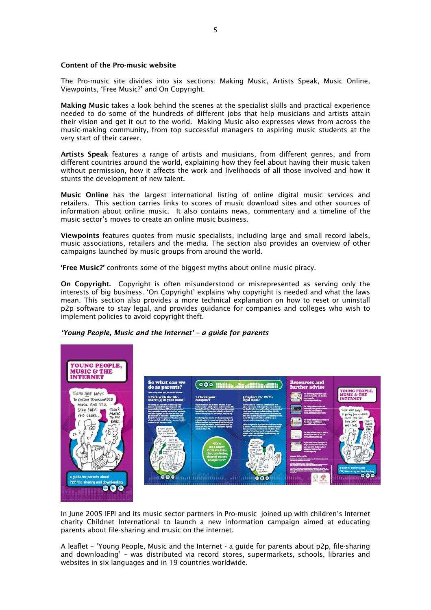## Content of the Pro-music website

The Pro-music site divides into six sections: Making Music, Artists Speak, Music Online, Viewpoints, 'Free Music?' and On Copyright.

Making Music takes a look behind the scenes at the specialist skills and practical experience needed to do some of the hundreds of different jobs that help musicians and artists attain their vision and get it out to the world. Making Music also expresses views from across the music-making community, from top successful managers to aspiring music students at the very start of their career.

Artists Speak features a range of artists and musicians, from different genres, and from different countries around the world, explaining how they feel about having their music taken without permission, how it affects the work and livelihoods of all those involved and how it stunts the development of new talent.

Music Online has the largest international listing of online digital music services and retailers. This section carries links to scores of music download sites and other sources of information about online music. It also contains news, commentary and a timeline of the music sector's moves to create an online music business.

Viewpoints features quotes from music specialists, including large and small record labels, music associations, retailers and the media. The section also provides an overview of other campaigns launched by music groups from around the world.

'Free Music?' confronts some of the biggest myths about online music piracy.

On Copyright. Copyright is often misunderstood or misrepresented as serving only the interests of big business. 'On Copyright' explains why copyright is needed and what the laws mean. This section also provides a more technical explanation on how to reset or uninstall p2p software to stay legal, and provides guidance for companies and colleges who wish to implement policies to avoid copyright theft.

# *'Young People, Music and the Internet' – a guide for parents*



In June 2005 IFPI and its music sector partners in Pro-music joined up with children's Internet charity Childnet International to launch a new information campaign aimed at educating parents about file-sharing and music on the internet.

A leaflet – 'Young People, Music and the Internet - a guide for parents about p2p, file-sharing and downloading' – was distributed via record stores, supermarkets, schools, libraries and websites in six languages and in 19 countries worldwide.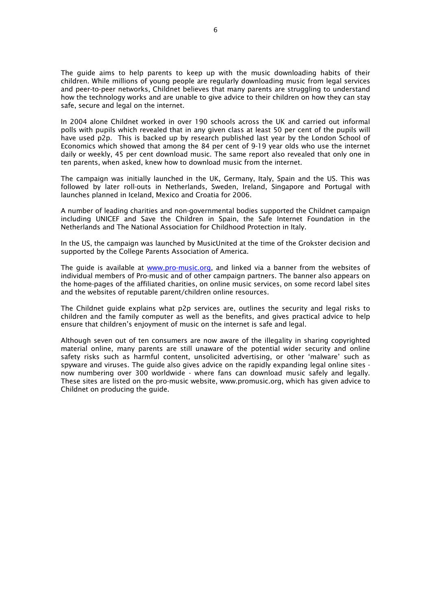The guide aims to help parents to keep up with the music downloading habits of their children. While millions of young people are regularly downloading music from legal services and peer-to-peer networks, Childnet believes that many parents are struggling to understand how the technology works and are unable to give advice to their children on how they can stay safe, secure and legal on the internet.

In 2004 alone Childnet worked in over 190 schools across the UK and carried out informal polls with pupils which revealed that in any given class at least 50 per cent of the pupils will have used p2p. This is backed up by research published last year by the London School of Economics which showed that among the 84 per cent of 9-19 year olds who use the internet daily or weekly, 45 per cent download music. The same report also revealed that only one in ten parents, when asked, knew how to download music from the internet.

The campaign was initially launched in the UK, Germany, Italy, Spain and the US. This was followed by later roll-outs in Netherlands, Sweden, Ireland, Singapore and Portugal with launches planned in Iceland, Mexico and Croatia for 2006.

A number of leading charities and non-governmental bodies supported the Childnet campaign including UNICEF and Save the Children in Spain, the Safe Internet Foundation in the Netherlands and The National Association for Childhood Protection in Italy.

In the US, the campaign was launched by MusicUnited at the time of the Grokster decision and supported by the College Parents Association of America.

The guide is available at www.pro-music.org, and linked via a banner from the websites of individual members of Pro-music and of other campaign partners. The banner also appears on the home-pages of the affiliated charities, on online music services, on some record label sites and the websites of reputable parent/children online resources.

The Childnet guide explains what p2p services are, outlines the security and legal risks to children and the family computer as well as the benefits, and gives practical advice to help ensure that children's enjoyment of music on the internet is safe and legal.

Although seven out of ten consumers are now aware of the illegality in sharing copyrighted material online, many parents are still unaware of the potential wider security and online safety risks such as harmful content, unsolicited advertising, or other 'malware' such as spyware and viruses. The guide also gives advice on the rapidly expanding legal online sites now numbering over 300 worldwide - where fans can download music safely and legally. These sites are listed on the pro-music website, www.promusic.org, which has given advice to Childnet on producing the guide.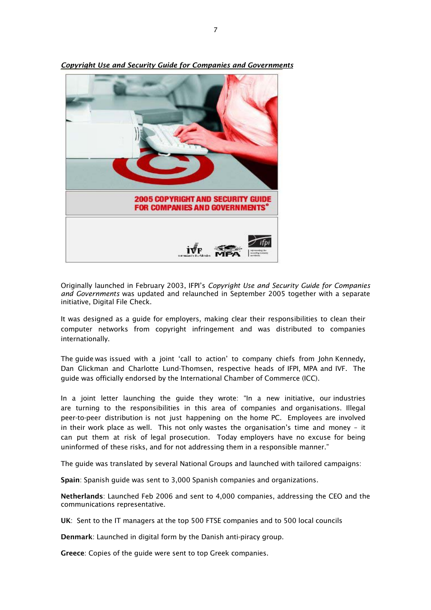

*Copyright Use and Security Guide for Companies and Governments*

Originally launched in February 2003, IFPI's *Copyright Use and Security Guide for Companies and Governments* was updated and relaunched in September 2005 together with a separate initiative, Digital File Check.

It was designed as a guide for employers, making clear their responsibilities to clean their computer networks from copyright infringement and was distributed to companies internationally.

The guide was issued with a joint 'call to action' to company chiefs from John Kennedy, Dan Glickman and Charlotte Lund-Thomsen, respective heads of IFPI, MPA and IVF. The guide was officially endorsed by the International Chamber of Commerce (ICC).

In a joint letter launching the guide they wrote: "In a new initiative, our industries are turning to the responsibilities in this area of companies and organisations. Illegal peer-to-peer distribution is not just happening on the home PC. Employees are involved in their work place as well. This not only wastes the organisation's time and money – it can put them at risk of legal prosecution. Today employers have no excuse for being uninformed of these risks, and for not addressing them in a responsible manner."

The guide was translated by several National Groups and launched with tailored campaigns:

Spain: Spanish guide was sent to 3,000 Spanish companies and organizations.

Netherlands: Launched Feb 2006 and sent to 4,000 companies, addressing the CEO and the communications representative.

UK: Sent to the IT managers at the top 500 FTSE companies and to 500 local councils

Denmark: Launched in digital form by the Danish anti-piracy group.

Greece: Copies of the guide were sent to top Greek companies.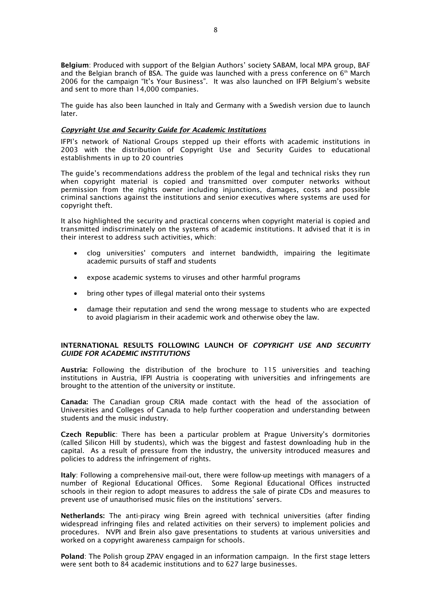Belgium: Produced with support of the Belgian Authors' society SABAM, local MPA group, BAF and the Belgian branch of BSA. The guide was launched with a press conference on  $6<sup>th</sup>$  March 2006 for the campaign "It's Your Business". It was also launched on IFPI Belgium's website and sent to more than 14,000 companies.

The guide has also been launched in Italy and Germany with a Swedish version due to launch later.

## *Copyright Use and Security Guide for Academic Institutions*

IFPI's network of National Groups stepped up their efforts with academic institutions in 2003 with the distribution of Copyright Use and Security Guides to educational establishments in up to 20 countries

The guide's recommendations address the problem of the legal and technical risks they run when copyright material is copied and transmitted over computer networks without permission from the rights owner including injunctions, damages, costs and possible criminal sanctions against the institutions and senior executives where systems are used for copyright theft.

It also highlighted the security and practical concerns when copyright material is copied and transmitted indiscriminately on the systems of academic institutions. It advised that it is in their interest to address such activities, which:

- clog universities' computers and internet bandwidth, impairing the legitimate academic pursuits of staff and students
- expose academic systems to viruses and other harmful programs
- bring other types of illegal material onto their systems
- damage their reputation and send the wrong message to students who are expected to avoid plagiarism in their academic work and otherwise obey the law.

## INTERNATIONAL RESULTS FOLLOWING LAUNCH OF *COPYRIGHT USE AND SECURITY GUIDE FOR ACADEMIC INSTITUTIONS*

Austria: Following the distribution of the brochure to 115 universities and teaching institutions in Austria, IFPI Austria is cooperating with universities and infringements are brought to the attention of the university or institute.

Canada: The Canadian group CRIA made contact with the head of the association of Universities and Colleges of Canada to help further cooperation and understanding between students and the music industry.

Czech Republic: There has been a particular problem at Prague University's dormitories (called Silicon Hill by students), which was the biggest and fastest downloading hub in the capital. As a result of pressure from the industry, the university introduced measures and policies to address the infringement of rights.

Italy: Following a comprehensive mail-out, there were follow-up meetings with managers of a number of Regional Educational Offices. Some Regional Educational Offices instructed schools in their region to adopt measures to address the sale of pirate CDs and measures to prevent use of unauthorised music files on the institutions' servers.

Netherlands: The anti-piracy wing Brein agreed with technical universities (after finding widespread infringing files and related activities on their servers) to implement policies and procedures. NVPI and Brein also gave presentations to students at various universities and worked on a copyright awareness campaign for schools.

Poland: The Polish group ZPAV engaged in an information campaign. In the first stage letters were sent both to 84 academic institutions and to 627 large businesses.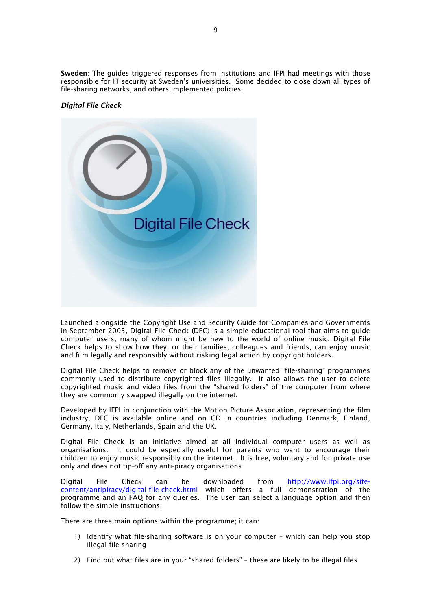Sweden: The guides triggered responses from institutions and IFPI had meetings with those responsible for IT security at Sweden's universities. Some decided to close down all types of file-sharing networks, and others implemented policies.

# *Digital File Check*



Launched alongside the Copyright Use and Security Guide for Companies and Governments in September 2005, Digital File Check (DFC) is a simple educational tool that aims to guide computer users, many of whom might be new to the world of online music. Digital File Check helps to show how they, or their families, colleagues and friends, can enjoy music and film legally and responsibly without risking legal action by copyright holders.

Digital File Check helps to remove or block any of the unwanted "file-sharing" programmes commonly used to distribute copyrighted files illegally. It also allows the user to delete copyrighted music and video files from the "shared folders" of the computer from where they are commonly swapped illegally on the internet.

Developed by IFPI in conjunction with the Motion Picture Association, representing the film industry, DFC is available online and on CD in countries including Denmark, Finland, Germany, Italy, Netherlands, Spain and the UK.

Digital File Check is an initiative aimed at all individual computer users as well as organisations. It could be especially useful for parents who want to encourage their children to enjoy music responsibly on the internet. It is free, voluntary and for private use only and does not tip-off any anti-piracy organisations.

Digital File Check can be downloaded from http://www.ifpi.org/sitecontent/antipiracy/digital-file-check.html which offers a full demonstration of the programme and an FAQ for any queries. The user can select a language option and then follow the simple instructions.

There are three main options within the programme; it can:

- 1) Identify what file-sharing software is on your computer which can help you stop illegal file-sharing
- 2) Find out what files are in your "shared folders" these are likely to be illegal files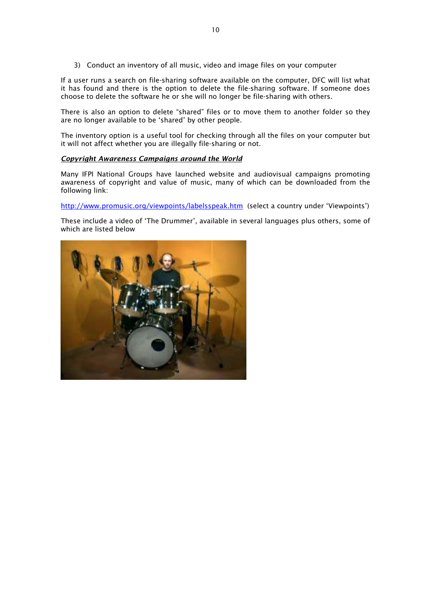3) Conduct an inventory of all music, video and image files on your computer

If a user runs a search on file-sharing software available on the computer, DFC will list what it has found and there is the option to delete the file-sharing software. If someone does choose to delete the software he or she will no longer be file-sharing with others.

There is also an option to delete "shared" files or to move them to another folder so they are no longer available to be 'shared' by other people.

The inventory option is a useful tool for checking through all the files on your computer but it will not affect whether you are illegally file-sharing or not.

## *Copyright Awareness Campaigns around the World*

Many IFPI National Groups have launched website and audiovisual campaigns promoting awareness of copyright and value of music, many of which can be downloaded from the following link:

http://www.promusic.org/viewpoints/labelsspeak.htm (select a country under 'Viewpoints')

These include a video of 'The Drummer', available in several languages plus others, some of which are listed below

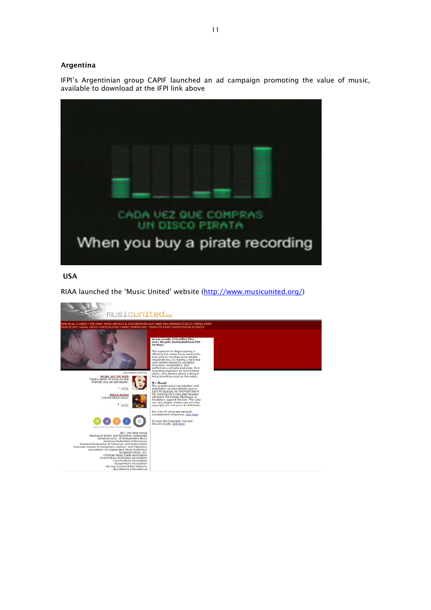## Argentina

IFPI's Argentinian group CAPIF launched an ad campaign promoting the value of music, available to download at the IFPI link above



# USA

RIAA launched the 'Music United' website (http://www.musicunited.org/)

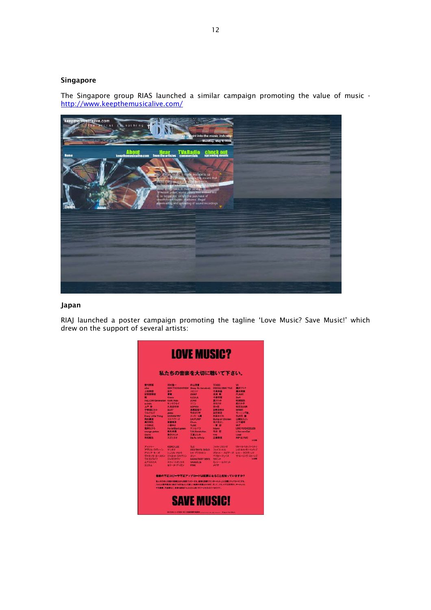# Singapore

The Singapore group RIAS launched a similar campaign promoting the value of music http://www.keepthemusicalive.com/



## Japan

RIAJ launched a poster campaign promoting the tagline 'Love Music? Save Music!' which drew on the support of several artists:

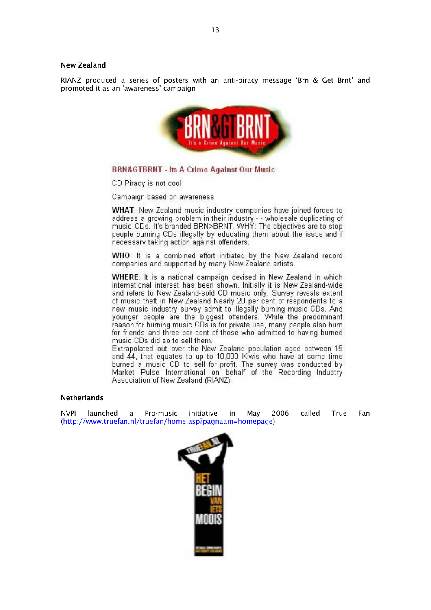#### New Zealand

RIANZ produced a series of posters with an anti-piracy message 'Brn & Get Brnt' and promoted it as an 'awareness' campaign



# **BRN&GTBRNT - Its A Crime Against Our Music**

CD Piracy is not cool

Campaign based on awareness

WHAT: New Zealand music industry companies have joined forces to address a growing problem in their industry - - wholesale duplicating of<br>music CDs. It's branded BRN>BRNT. WHY: The objectives are to stop people burning CDs illegally by educating them about the issue and if necessary taking action against offenders.

WHO: It is a combined effort initiated by the New Zealand record companies and supported by many New Zealand artists.

**WHERE:** It is a national campaign devised in New Zealand in which international interest has been shown. Initially it is New Zealand-wide and refers to New Zealand-sold CD music only. Survey reveals extent of music theft in New Zealand Nearly 20 per cent of respondents to a new music industry survey admit to illegally burning music CDs. And younger people are the biggest offenders. While the predominant reason for burning music CDs is for private use, many people also burn for friends and three per cent of those who admitted to having burned music CDs did so to sell them.

Extrapolated out over the New Zealand population aged between 15 and 44, that equates to up to 10,000 Kiwis who have at some time burned a music CD to sell for profit. The survey was conducted by Market Pulse International on behalf of the Recording Industry Association of New Zealand (RIANZ).

## Netherlands

NVPI launched a Pro-music initiative in May 2006 called True Fan (http://www.truefan.nl/truefan/home.asp?pagnaam=homepage)

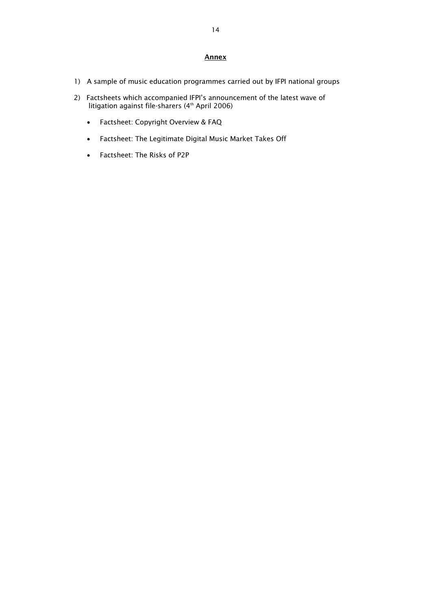# Annex

- 1) A sample of music education programmes carried out by IFPI national groups
- 2) Factsheets which accompanied IFPI's announcement of the latest wave of litigation against file-sharers (4th April 2006)
	- Factsheet: Copyright Overview & FAQ
	- Factsheet: The Legitimate Digital Music Market Takes Off
	- Factsheet: The Risks of P2P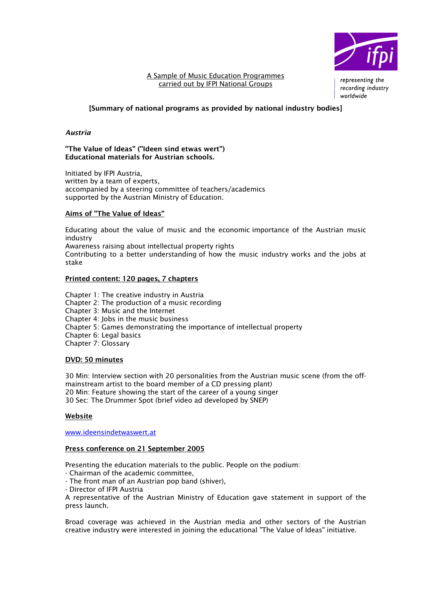

## A Sample of Music Education Programmes carried out by IFPI National Groups

representing the recording industry worldwide

# [Summary of national programs as provided by national industry bodies]

## *Austria*

## "The Value of Ideas" ("Ideen sind etwas wert") Educational materials for Austrian schools.

Initiated by IFPI Austria, written by a team of experts. accompanied by a steering committee of teachers/academics supported by the Austrian Ministry of Education.

## Aims of "The Value of Ideas"

Educating about the value of music and the economic importance of the Austrian music industry

Awareness raising about intellectual property rights

Contributing to a better understanding of how the music industry works and the jobs at stake

## Printed content: 120 pages, 7 chapters

Chapter 1: The creative industry in Austria Chapter 2: The production of a music recording Chapter 3: Music and the Internet Chapter 4: Jobs in the music business Chapter 5: Games demonstrating the importance of intellectual property Chapter 6: Legal basics Chapter 7: Glossary

## DVD: 50 minutes

30 Min: Interview section with 20 personalities from the Austrian music scene (from the offmainstream artist to the board member of a CD pressing plant) 20 Min: Feature showing the start of the career of a young singer 30 Sec: The Drummer Spot (brief video ad developed by SNEP)

## Website

www.ideensindetwaswert.at

## Press conference on 21 September 2005

Presenting the education materials to the public. People on the podium:

- Chairman of the academic committee,
- The front man of an Austrian pop band (shiver),
- Director of IFPI Austria

A representative of the Austrian Ministry of Education gave statement in support of the press launch.

Broad coverage was achieved in the Austrian media and other sectors of the Austrian creative industry were interested in joining the educational "The Value of Ideas" initiative.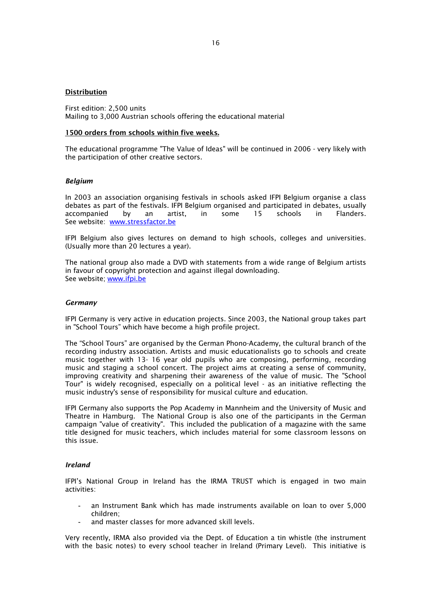#### Distribution

First edition: 2,500 units Mailing to 3,000 Austrian schools offering the educational material

#### 1500 orders from schools within five weeks.

The educational programme "The Value of Ideas" will be continued in 2006 - very likely with the participation of other creative sectors.

#### *Belgium*

In 2003 an association organising festivals in schools asked IFPI Belgium organise a class debates as part of the festivals. IFPI Belgium organised and participated in debates, usually accompanied by an artist, in some 15 schools in Flanders. See website: www.stressfactor.be

IFPI Belgium also gives lectures on demand to high schools, colleges and universities. (Usually more than 20 lectures a year).

The national group also made a DVD with statements from a wide range of Belgium artists in favour of copyright protection and against illegal downloading. See website; www.ifpi.be

#### *Germany*

IFPI Germany is very active in education projects. Since 2003, the National group takes part in "School Tours" which have become a high profile project.

The "School Tours" are organised by the German Phono-Academy, the cultural branch of the recording industry association. Artists and music educationalists go to schools and create music together with 13- 16 year old pupils who are composing, performing, recording music and staging a school concert. The project aims at creating a sense of community, improving creativity and sharpening their awareness of the value of music. The "School Tour" is widely recognised, especially on a political level - as an initiative reflecting the music industry's sense of responsibility for musical culture and education.

IFPI Germany also supports the Pop Academy in Mannheim and the University of Music and Theatre in Hamburg. The National Group is also one of the participants in the German campaign "value of creativity". This included the publication of a magazine with the same title designed for music teachers, which includes material for some classroom lessons on this issue.

#### *Ireland*

IFPI's National Group in Ireland has the IRMA TRUST which is engaged in two main activities:

- an Instrument Bank which has made instruments available on loan to over 5,000 children;
- and master classes for more advanced skill levels.

Very recently, IRMA also provided via the Dept. of Education a tin whistle (the instrument with the basic notes) to every school teacher in Ireland (Primary Level). This initiative is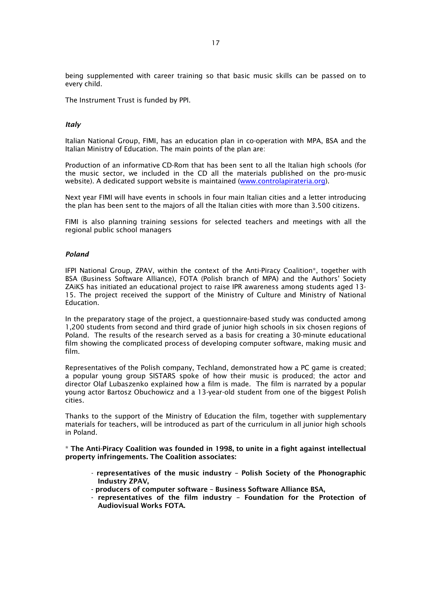being supplemented with career training so that basic music skills can be passed on to every child.

The Instrument Trust is funded by PPI.

### *Italy*

Italian National Group, FIMI, has an education plan in co-operation with MPA, BSA and the Italian Ministry of Education. The main points of the plan are:

Production of an informative CD-Rom that has been sent to all the Italian high schools (for the music sector, we included in the CD all the materials published on the pro-music website). A dedicated support website is maintained (www.controlapirateria.org).

Next year FIMI will have events in schools in four main Italian cities and a letter introducing the plan has been sent to the majors of all the Italian cities with more than 3.500 citizens.

FIMI is also planning training sessions for selected teachers and meetings with all the regional public school managers

#### *Poland*

IFPI National Group, ZPAV, within the context of the Anti-Piracy Coalition\*, together with BSA (Business Software Alliance), FOTA (Polish branch of MPA) and the Authors' Society ZAiKS has initiated an educational project to raise IPR awareness among students aged 13- 15. The project received the support of the Ministry of Culture and Ministry of National Education.

In the preparatory stage of the project, a questionnaire-based study was conducted among 1,200 students from second and third grade of junior high schools in six chosen regions of Poland. The results of the research served as a basis for creating a 30-minute educational film showing the complicated process of developing computer software, making music and film.

Representatives of the Polish company, Techland, demonstrated how a PC game is created; a popular young group SISTARS spoke of how their music is produced; the actor and director Olaf Lubaszenko explained how a film is made. The film is narrated by a popular young actor Bartosz Obuchowicz and a 13-year-old student from one of the biggest Polish cities.

Thanks to the support of the Ministry of Education the film, together with supplementary materials for teachers, will be introduced as part of the curriculum in all junior high schools in Poland.

\* The Anti-Piracy Coalition was founded in 1998, to unite in a fight against intellectual property infringements. The Coalition associates:

- representatives of the music industry Polish Society of the Phonographic Industry ZPAV,
- producers of computer software Business Software Alliance BSA,
- representatives of the film industry Foundation for the Protection of Audiovisual Works FOTA.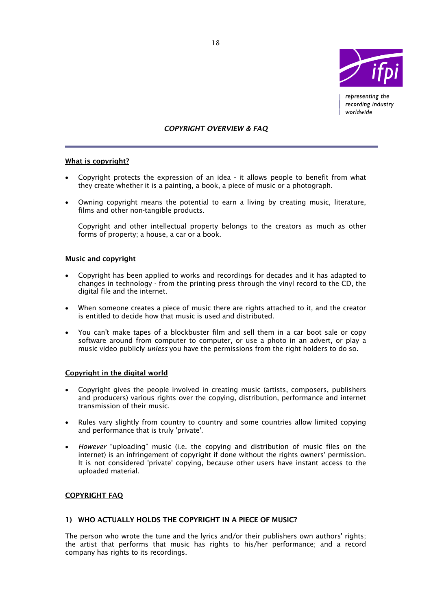

representing the recording industry worldwide

## *COPYRIGHT OVERVIEW & FAQ*

## What is copyright?

- Copyright protects the expression of an idea it allows people to benefit from what they create whether it is a painting, a book, a piece of music or a photograph.
- Owning copyright means the potential to earn a living by creating music, literature, films and other non-tangible products.

Copyright and other intellectual property belongs to the creators as much as other forms of property; a house, a car or a book.

## Music and copyright

- Copyright has been applied to works and recordings for decades and it has adapted to changes in technology - from the printing press through the vinyl record to the CD, the digital file and the internet.
- When someone creates a piece of music there are rights attached to it, and the creator is entitled to decide how that music is used and distributed.
- You can't make tapes of a blockbuster film and sell them in a car boot sale or copy software around from computer to computer, or use a photo in an advert, or play a music video publicly *unless* you have the permissions from the right holders to do so.

## Copyright in the digital world

- Copyright gives the people involved in creating music (artists, composers, publishers and producers) various rights over the copying, distribution, performance and internet transmission of their music.
- Rules vary slightly from country to country and some countries allow limited copying and performance that is truly 'private'.
- *However* "uploading" music (i.e. the copying and distribution of music files on the internet) is an infringement of copyright if done without the rights owners' permission. It is not considered 'private' copying, because other users have instant access to the uploaded material.

## COPYRIGHT FAQ

#### 1) WHO ACTUALLY HOLDS THE COPYRIGHT IN A PIECE OF MUSIC?

The person who wrote the tune and the lyrics and/or their publishers own authors' rights; the artist that performs that music has rights to his/her performance; and a record company has rights to its recordings.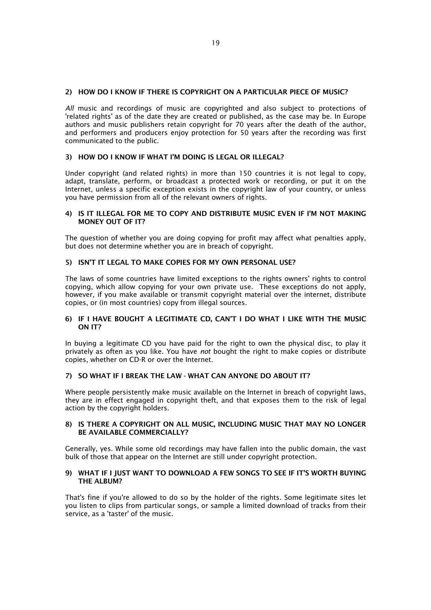## 2) HOW DO I KNOW IF THERE IS COPYRIGHT ON A PARTICULAR PIECE OF MUSIC?

*All* music and recordings of music are copyrighted and also subject to protections of 'related rights' as of the date they are created or published, as the case may be. In Europe authors and music publishers retain copyright for 70 years after the death of the author, and performers and producers enjoy protection for 50 years after the recording was first communicated to the public.

# 3) HOW DO I KNOW IF WHAT I'M DOING IS LEGAL OR ILLEGAL?

Under copyright (and related rights) in more than 150 countries it is not legal to copy, adapt, translate, perform, or broadcast a protected work or recording, or put it on the Internet, unless a specific exception exists in the copyright law of your country, or unless you have permission from all of the relevant owners of rights.

#### 4) IS IT ILLEGAL FOR ME TO COPY AND DISTRIBUTE MUSIC EVEN IF I'M NOT MAKING MONEY OUT OF IT?

The question of whether you are doing copying for profit may affect what penalties apply, but does not determine whether you are in breach of copyright.

## 5) ISN'T IT LEGAL TO MAKE COPIES FOR MY OWN PERSONAL USE?

The laws of some countries have limited exceptions to the rights owners' rights to control copying, which allow copying for your own private use. These exceptions do not apply, however, if you make available or transmit copyright material over the internet, distribute copies, or (in most countries) copy from illegal sources.

## 6) IF I HAVE BOUGHT A LEGITIMATE CD, CAN'T I DO WHAT I LIKE WITH THE MUSIC ON IT?

In buying a legitimate CD you have paid for the right to own the physical disc, to play it privately as often as you like. You have *not* bought the right to make copies or distribute copies, whether on CD-R or over the Internet.

## 7) SO WHAT IF I BREAK THE LAW - WHAT CAN ANYONE DO ABOUT IT?

Where people persistently make music available on the Internet in breach of copyright laws, they are in effect engaged in copyright theft, and that exposes them to the risk of legal action by the copyright holders.

#### 8) IS THERE A COPYRIGHT ON ALL MUSIC, INCLUDING MUSIC THAT MAY NO LONGER BE AVAILABLE COMMERCIALLY?

Generally, yes. While some old recordings may have fallen into the public domain, the vast bulk of those that appear on the Internet are still under copyright protection.

### 9) WHAT IF I JUST WANT TO DOWNLOAD A FEW SONGS TO SEE IF IT'S WORTH BUYING THE ALBUM?

That's fine if you're allowed to do so by the holder of the rights. Some legitimate sites let you listen to clips from particular songs, or sample a limited download of tracks from their service, as a 'taster' of the music.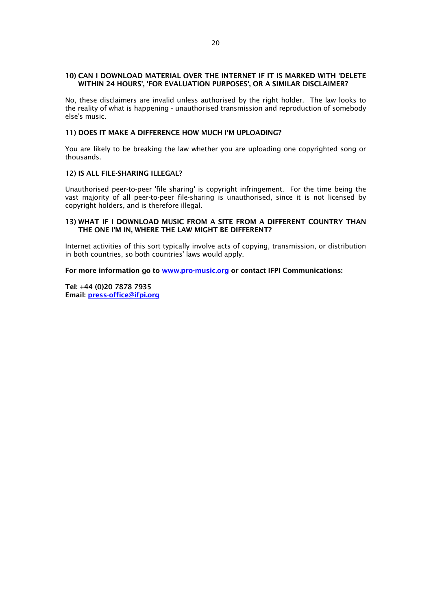## 10) CAN I DOWNLOAD MATERIAL OVER THE INTERNET IF IT IS MARKED WITH 'DELETE WITHIN 24 HOURS', 'FOR EVALUATION PURPOSES', OR A SIMILAR DISCLAIMER?

No, these disclaimers are invalid unless authorised by the right holder. The law looks to the reality of what is happening - unauthorised transmission and reproduction of somebody else's music.

## 11) DOES IT MAKE A DIFFERENCE HOW MUCH I'M UPLOADING?

You are likely to be breaking the law whether you are uploading one copyrighted song or thousands.

### 12) IS ALL FILE-SHARING ILLEGAL?

Unauthorised peer-to-peer 'file sharing' is copyright infringement. For the time being the vast majority of all peer-to-peer file-sharing is unauthorised, since it is not licensed by copyright holders, and is therefore illegal.

### 13) WHAT IF I DOWNLOAD MUSIC FROM A SITE FROM A DIFFERENT COUNTRY THAN THE ONE I'M IN, WHERE THE LAW MIGHT BE DIFFERENT?

Internet activities of this sort typically involve acts of copying, transmission, or distribution in both countries, so both countries' laws would apply.

For more information go to www.pro-music.org or contact IFPI Communications:

Tel: +44 (0)20 7878 7935 Email: press-office@ifpi.org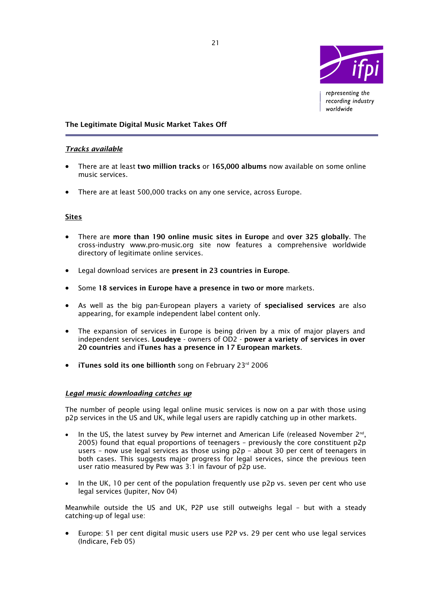

representing the recording industry worldwide

# The Legitimate Digital Music Market Takes Off

# *Tracks available*

- There are at least two million tracks or 165,000 albums now available on some online music services.
- There are at least 500,000 tracks on any one service, across Europe.

## **Sites**

l

- There are more than 190 online music sites in Europe and over 325 globally. The cross-industry www.pro-music.org site now features a comprehensive worldwide directory of legitimate online services.
- Legal download services are present in 23 countries in Europe.
- Some 18 services in Europe have a presence in two or more markets.
- As well as the big pan-European players a variety of specialised services are also appearing, for example independent label content only.
- The expansion of services in Europe is being driven by a mix of major players and independent services. Loudeye - owners of OD2 - power a variety of services in over 20 countries and iTunes has a presence in 17 European markets.
- iTunes sold its one billionth song on February  $23<sup>rd</sup> 2006$

# *Legal music downloading catches up*

The number of people using legal online music services is now on a par with those using p2p services in the US and UK, while legal users are rapidly catching up in other markets.

- In the US, the latest survey by Pew internet and American Life (released November  $2^{nd}$ , 2005) found that equal proportions of teenagers – previously the core constituent p2p users – now use legal services as those using p2p – about 30 per cent of teenagers in both cases. This suggests major progress for legal services, since the previous teen user ratio measured by Pew was 3:1 in favour of p2p use.
- In the UK, 10 per cent of the population frequently use p2p vs. seven per cent who use legal services (Jupiter, Nov 04)

Meanwhile outside the US and UK, P2P use still outweighs legal – but with a steady catching-up of legal use:

• Europe: 51 per cent digital music users use P2P vs. 29 per cent who use legal services (Indicare, Feb 05)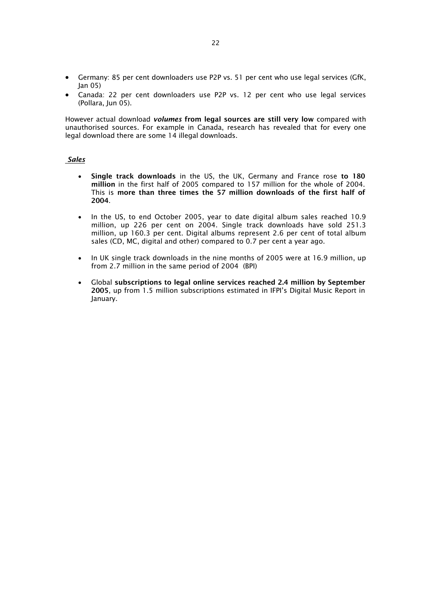- Germany: 85 per cent downloaders use P2P vs. 51 per cent who use legal services (GfK, Jan 05)
- Canada: 22 per cent downloaders use P2P vs. 12 per cent who use legal services (Pollara, Jun 05).

However actual download *volumes* from legal sources are still very low compared with unauthorised sources. For example in Canada, research has revealed that for every one legal download there are some 14 illegal downloads.

## *Sales*

- Single track downloads in the US, the UK, Germany and France rose to 180 million in the first half of 2005 compared to 157 million for the whole of 2004. This is more than three times the 57 million downloads of the first half of 2004.
- In the US, to end October 2005, year to date digital album sales reached 10.9 million, up 226 per cent on 2004. Single track downloads have sold 251.3 million, up 160.3 per cent. Digital albums represent 2.6 per cent of total album sales (CD, MC, digital and other) compared to 0.7 per cent a year ago.
- In UK single track downloads in the nine months of 2005 were at 16.9 million, up from 2.7 million in the same period of 2004 (BPI)
- Global subscriptions to legal online services reached 2.4 million by September 2005, up from 1.5 million subscriptions estimated in IFPI's Digital Music Report in January.